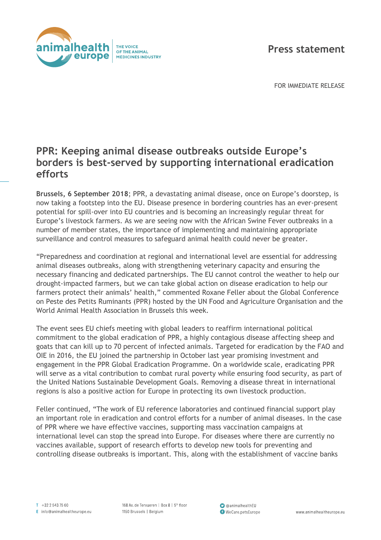

## **Press statement**

FOR IMMEDIATE RELEASE

## **PPR: Keeping animal disease outbreaks outside Europe's borders is best-served by supporting international eradication efforts**

**Brussels, 6 September 2018**; PPR, a devastating animal disease, once on Europe's doorstep, is now taking a footstep into the EU. Disease presence in bordering countries has an ever-present potential for spill-over into EU countries and is becoming an increasingly regular threat for Europe's livestock farmers. As we are seeing now with the African Swine Fever outbreaks in a number of member states, the importance of implementing and maintaining appropriate surveillance and control measures to safeguard animal health could never be greater.

"Preparedness and coordination at regional and international level are essential for addressing animal diseases outbreaks, along with strengthening veterinary capacity and ensuring the necessary financing and dedicated partnerships. The EU cannot control the weather to help our drought-impacted farmers, but we can take global action on disease eradication to help our farmers protect their animals' health," commented Roxane Feller about the Global Conference on Peste des Petits Ruminants (PPR) hosted by the UN Food and Agriculture Organisation and the World Animal Health Association in Brussels this week.

The event sees EU chiefs meeting with global leaders to reaffirm international political commitment to the global eradication of PPR, a highly contagious disease affecting sheep and goats that can kill up to 70 percent of infected animals. Targeted for eradication by the FAO and OIE in 2016, the EU joined the partnership in October last year promising investment and engagement in the PPR Global Eradication Programme. On a worldwide scale, eradicating PPR will serve as a vital contribution to combat rural poverty while ensuring food security, as part of the United Nations Sustainable Development Goals. Removing a disease threat in international regions is also a positive action for Europe in protecting its own livestock production.

Feller continued, "The work of EU reference laboratories and continued financial support play an important role in eradication and control efforts for a number of animal diseases. In the case of PPR where we have effective vaccines, supporting mass vaccination campaigns at international level can stop the spread into Europe. For diseases where there are currently no vaccines available, support of research efforts to develop new tools for preventing and controlling disease outbreaks is important. This, along with the establishment of vaccine banks